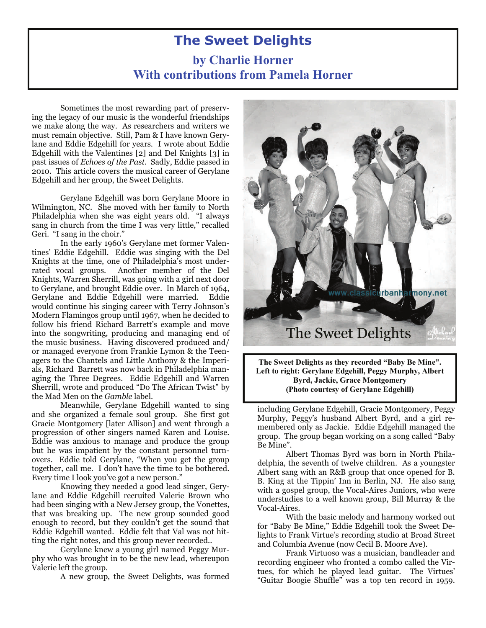# **The Sweet Delights**

## **by Charlie Horner With contributions from Pamela Horner**

Sometimes the most rewarding part of preserving the legacy of our music is the wonderful friendships we make along the way. As researchers and writers we must remain objective. Still, Pam & I have known Gerylane and Eddie Edgehill for years. I wrote about Eddie Edgehill with the Valentines [2] and Del Knights [3] in past issues of *Echoes of the Past*. Sadly, Eddie passed in 2010. This article covers the musical career of Gerylane Edgehill and her group, the Sweet Delights.

Gerylane Edgehill was born Gerylane Moore in Wilmington, NC. She moved with her family to North Philadelphia when she was eight years old. "I always sang in church from the time I was very little," recalled Geri. "I sang in the choir."

 In the early 1960's Gerylane met former Valentines' Eddie Edgehill. Eddie was singing with the Del Knights at the time, one of Philadelphia's most underrated vocal groups. Another member of the Del Knights, Warren Sherrill, was going with a girl next door to Gerylane, and brought Eddie over. In March of 1964, Gerylane and Eddie Edgehill were married. Eddie would continue his singing career with Terry Johnson's Modern Flamingos group until 1967, when he decided to follow his friend Richard Barrett's example and move into the songwriting, producing and managing end of the music business. Having discovered produced and/ or managed everyone from Frankie Lymon & the Teenagers to the Chantels and Little Anthony & the Imperials, Richard Barrett was now back in Philadelphia managing the Three Degrees. Eddie Edgehill and Warren Sherrill, wrote and produced "Do The African Twist" by the Mad Men on the *Gamble* label.

 Meanwhile, Gerylane Edgehill wanted to sing and she organized a female soul group. She first got Gracie Montgomery [later Allison] and went through a progression of other singers named Karen and Louise. Eddie was anxious to manage and produce the group but he was impatient by the constant personnel turnovers. Eddie told Gerylane, "When you get the group together, call me. I don't have the time to be bothered. Every time I look you've got a new person."

 Knowing they needed a good lead singer, Gerylane and Eddie Edgehill recruited Valerie Brown who had been singing with a New Jersey group, the Vonettes, that was breaking up. The new group sounded good enough to record, but they couldn't get the sound that Eddie Edgehill wanted. Eddie felt that Val was not hitting the right notes, and this group never recorded..

 Gerylane knew a young girl named Peggy Murphy who was brought in to be the new lead, whereupon Valerie left the group.

A new group, the Sweet Delights, was formed



**The Sweet Delights as they recorded "Baby Be Mine". Left to right: Gerylane Edgehill, Peggy Murphy, Albert Byrd, Jackie, Grace Montgomery (Photo courtesy of Gerylane Edgehill)** 

including Gerylane Edgehill, Gracie Montgomery, Peggy Murphy, Peggy's husband Albert Byrd, and a girl remembered only as Jackie. Eddie Edgehill managed the group. The group began working on a song called "Baby Be Mine".

Albert Thomas Byrd was born in North Philadelphia, the seventh of twelve children. As a youngster Albert sang with an R&B group that once opened for B. B. King at the Tippin' Inn in Berlin, NJ. He also sang with a gospel group, the Vocal-Aires Juniors, who were understudies to a well known group, Bill Murray & the Vocal-Aires.

With the basic melody and harmony worked out for "Baby Be Mine," Eddie Edgehill took the Sweet Delights to Frank Virtue's recording studio at Broad Street and Columbia Avenue (now Cecil B. Moore Ave).

Frank Virtuoso was a musician, bandleader and recording engineer who fronted a combo called the Virtues, for which he played lead guitar. The Virtues' "Guitar Boogie Shuffle" was a top ten record in 1959.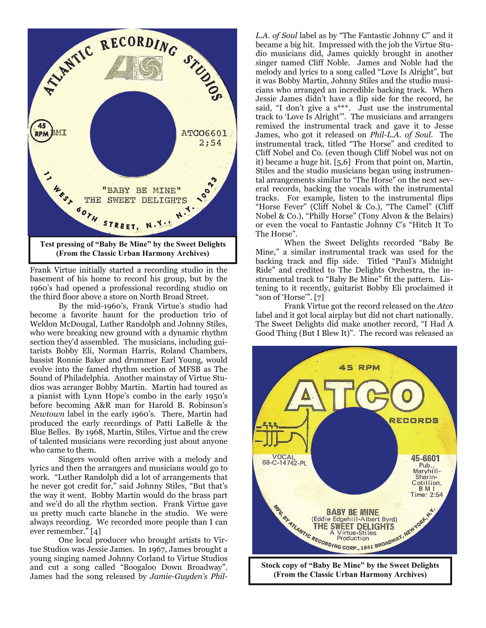

Frank Virtue initially started a recording studio in the basement of his home to record his group, but by the 1960's had opened a professional recording studio on the third floor above a store on North Broad Street.

By the mid-1960's, Frank Virtue's studio had become a favorite haunt for the production trio of Weldon McDougal, Luther Randolph and Johnny Stiles, who were breaking new ground with a dynamic rhythm section they'd assembled. The musicians, including guitarists Bobby Eli, Norman Harris, Roland Chambers, bassist Ronnie Baker and drummer Earl Young, would evolve into the famed rhythm section of MFSB as The Sound of Philadelphia. Another mainstay of Virtue Studios was arranger Bobby Martin. Martin had toured as a pianist with Lynn Hope's combo in the early 1950's before becoming A&R man for Harold B. Robinson's *Newtown* label in the early 1960's. There, Martin had produced the early recordings of Patti LaBelle & the Blue Belles. By 1968, Martin, Stiles, Virtue and the crew of talented musicians were recording just about anyone who came to them.

Singers would often arrive with a melody and lyrics and then the arrangers and musicians would go to work. "Luther Randolph did a lot of arrangements that he never got credit for," said Johnny Stiles, "But that's the way it went. Bobby Martin would do the brass part and we'd do all the rhythm section. Frank Virtue gave us pretty much carte blanche in the studio. We were always recording. We recorded more people than I can ever remember." [4]

One local producer who brought artists to Virtue Studios was Jessie James. In 1967, James brought a young singing named Johnny Corland to Virtue Studios and cut a song called "Boogaloo Down Broadway". James had the song released by *Jamie-Guyden's Phil-* *L.A. of Soul* label as by "The Fantastic Johnny C" and it became a big hit. Impressed with the job the Virtue Studio musicians did, James quickly brought in another singer named Cliff Noble. James and Noble had the melody and lyrics to a song called "Love Is Alright", but it was Bobby Martin, Johnny Stiles and the studio musicians who arranged an incredible backing track. When Jessie James didn't have a flip side for the record, he said, "I don't give a s\*\*\*. Just use the instrumental track to 'Love Is Alright'". The musicians and arrangers remixed the instrumental track and gave it to Jesse James, who got it released on *Phil-L.A. of Soul*. The instrumental track, titled "The Horse" and credited to Cliff Nobel and Co. (even though Cliff Nobel was not on it) became a huge hit. [5,6] From that point on, Martin, Stiles and the studio musicians began using instrumental arrangements similar to "The Horse" on the next several records, backing the vocals with the instrumental tracks. For example, listen to the instrumental flips "Horse Fever" (Cliff Nobel & Co.), "The Camel" (Cliff Nobel & Co.), "Philly Horse" (Tony Alvon & the Belairs) or even the vocal to Fantastic Johnny C's "Hitch It To The Horse".

When the Sweet Delights recorded "Baby Be Mine," a similar instrumental track was used for the backing track and flip side. Titled "Paul's Midnight Ride" and credited to The Delights Orchestra, the instrumental track to "Baby Be Mine" fit the pattern. Listening to it recently, guitarist Bobby Eli proclaimed it "son of 'Horse'". [7]

Frank Virtue got the record released on the *Atco* label and it got local airplay but did not chart nationally. The Sweet Delights did make another record, "I Had A Good Thing (But I Blew It)". The record was released as

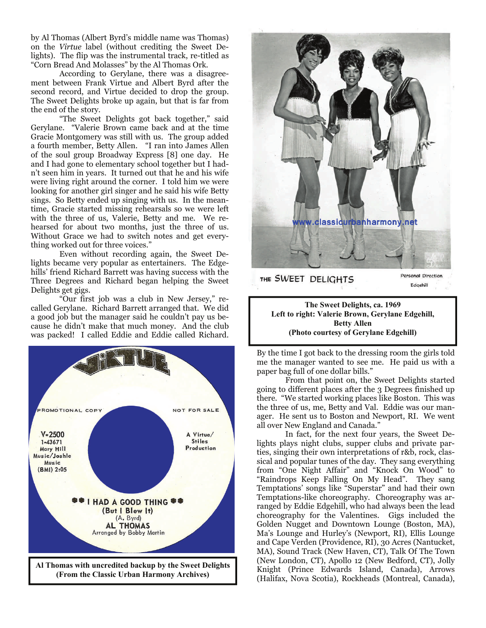by Al Thomas (Albert Byrd's middle name was Thomas) on the *Virtue* label (without crediting the Sweet Delights). The flip was the instrumental track, re-titled as "Corn Bread And Molasses" by the Al Thomas Ork.

According to Gerylane, there was a disagreement between Frank Virtue and Albert Byrd after the second record, and Virtue decided to drop the group. The Sweet Delights broke up again, but that is far from the end of the story.

"The Sweet Delights got back together," said Gerylane. "Valerie Brown came back and at the time Gracie Montgomery was still with us. The group added a fourth member, Betty Allen. "I ran into James Allen of the soul group Broadway Express [8] one day. He and I had gone to elementary school together but I hadn't seen him in years. It turned out that he and his wife were living right around the corner. I told him we were looking for another girl singer and he said his wife Betty sings. So Betty ended up singing with us. In the meantime, Gracie started missing rehearsals so we were left with the three of us, Valerie, Betty and me. We rehearsed for about two months, just the three of us. Without Grace we had to switch notes and get everything worked out for three voices."

Even without recording again, the Sweet Delights became very popular as entertainers. The Edgehills' friend Richard Barrett was having success with the Three Degrees and Richard began helping the Sweet Delights get gigs.

"Our first job was a club in New Jersey," recalled Gerylane. Richard Barrett arranged that. We did a good job but the manager said he couldn't pay us because he didn't make that much money. And the club was packed! I called Eddie and Eddie called Richard.





**The Sweet Delights, ca. 1969 Left to right: Valerie Brown, Gerylane Edgehill, Betty Allen (Photo courtesy of Gerylane Edgehill)** 

By the time I got back to the dressing room the girls told me the manager wanted to see me. He paid us with a paper bag full of one dollar bills."

From that point on, the Sweet Delights started going to different places after the 3 Degrees finished up there. "We started working places like Boston. This was the three of us, me, Betty and Val. Eddie was our manager. He sent us to Boston and Newport, RI. We went all over New England and Canada."

In fact, for the next four years, the Sweet Delights plays night clubs, supper clubs and private parties, singing their own interpretations of r&b, rock, classical and popular tunes of the day. They sang everything from "One Night Affair" and "Knock On Wood" to "Raindrops Keep Falling On My Head". They sang Temptations' songs like "Superstar" and had their own Temptations-like choreography. Choreography was arranged by Eddie Edgehill, who had always been the lead choreography for the Valentines. Gigs included the Golden Nugget and Downtown Lounge (Boston, MA), Ma's Lounge and Hurley's (Newport, RI), Ellis Lounge and Cape Verden (Providence, RI), 30 Acres (Nantucket, MA), Sound Track (New Haven, CT), Talk Of The Town (New London, CT), Apollo 12 (New Bedford, CT), Jolly Knight (Prince Edwards Island, Canada), Arrows (Halifax, Nova Scotia), Rockheads (Montreal, Canada),